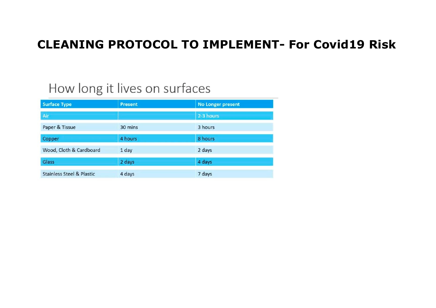## **CLEANING PROTOCOL TO IMPLEMENT- For Covid19 Risk**

# How long it lives on surfaces

| <b>Surface Type</b>                  | <b>Present</b> | <b>No Longer present</b> |
|--------------------------------------|----------------|--------------------------|
| Air                                  |                | 2-3 hours                |
| Paper & Tissue                       | 30 mins        | 3 hours                  |
| Copper                               | 4 hours        | 8 hours                  |
| Wood, Cloth & Cardboard              | 1 day          | 2 days                   |
| Glass                                | 2 days         | 4 days                   |
| <b>Stainless Steel &amp; Plastic</b> | 4 days         | 7 days                   |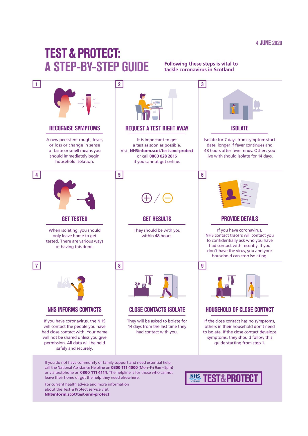## **TEST & PROTECT: A STEP-BY-STEP GUIDE**

#### Following these steps is vital to tackle coronavirus in Scotland



If you do not have community or family support and need essential help, call the National Assistance Helpline on 0800 111 4000 (Mon-Fri 9am-5pm) or via textohone on 0800 111 4114. The helpline is for those who cannot leave their home or get the help they need elsewhere.

For current health advice and more information about the Test & Protect service visit NHSinform.scot/test-and-protect

#### **NHS TEST&PROTEC**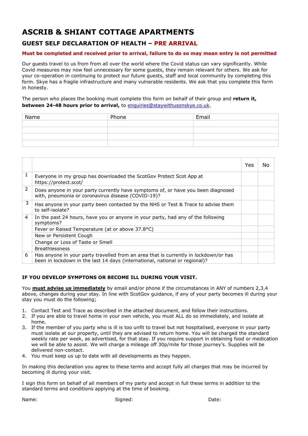## **ASCRIB & SHIANT COTTAGE APARTMENTS**

## **GUEST SELF DECLARATION OF HEALTH – PRE ARRIVAL**

### **Must be completed and received prior to arrival, failure to do so may mean entry is not permitted**

Our guests travel to us from from all over the world where the Covid status can vary significantly. While Covid measures may now feel unnecessary for some guests, they remain relevant for others. We ask for your co-operation in continuing to protect our future guests, staff and local community by completing this form. Skye has a fragile infrastructure and many vulnerable residents. We ask that you complete this form in honesty.

The person who places the booking must complete this form on behalf of their group and **return it, between 24-48 hours prior to arrival,** to [enquiries@staywithusonskye.co.uk](mailto:enquiries@staywithusonskye.co.uk).

| Name | Phone | Email |
|------|-------|-------|
|      |       |       |
|      |       |       |
|      |       |       |
|      |       |       |

|   |                                                                                                                                                                     | Yes | No. |
|---|---------------------------------------------------------------------------------------------------------------------------------------------------------------------|-----|-----|
| 1 | Everyone in my group has downloaded the ScotGov Protect Scot App at<br>https://protect.scot/                                                                        |     |     |
| 2 | Does anyone in your party currently have symptoms of, or have you been diagnosed<br>with, pneumonia or coronavirus disease (COVID-19)?                              |     |     |
| 3 | Has anyone in your party been contacted by the NHS or Test & Trace to advise them<br>to self-isolate?                                                               |     |     |
| 4 | In the past 24 hours, have you or anyone in your party, had any of the following<br>symptoms?                                                                       |     |     |
|   | Fever or Raised Temperature (at or above 37.8°C)                                                                                                                    |     |     |
|   | New or Persistent Cough                                                                                                                                             |     |     |
|   | Change or Loss of Taste or Smell                                                                                                                                    |     |     |
|   | <b>Breathlessness</b>                                                                                                                                               |     |     |
| 6 | Has anyone in your party travelled from an area that is currently in lockdown/or has<br>been in lockdown in the last 14 days (international, national or regional)? |     |     |

### **IF YOU DEVELOP SYMPTONS OR BECOME ILL DURING YOUR VISIT.**

You **must advise us immediately** by email and/or phone if the circumstances in ANY of numbers 2,3,4 above, changes during your stay. In line with ScotGov guidance, if any of your party becomes ill during your stay you must do the following;

- 1. Contact Test and Trace as described in the attached document, and follow their instructions.
- 2. If you are able to travel home in your own vehicle, you must ALL do so immediately, and isolate at home.
- 3. If the member of you party who is ill is too unfit to travel but not hospitalised, everyone in your party must isolate at our property, until they are advised to return home. You will be charged the standard weekly rate per week, as advertised, for that stay. If you require support in obtaining food or medication we will be able to assist. We will charge a mileage off 30p/mile for those journey's. Supplies will be delivered non-contact.
- 4. You must keep us up to date with all developments as they happen.

In making this declaration you agree to these terms and accept fully all charges that may be incurred by becoming ill during your visit.

I sign this form on behalf of all members of my party and accept in full these terms in addition to the standard terms and conditions applying at the time of booking.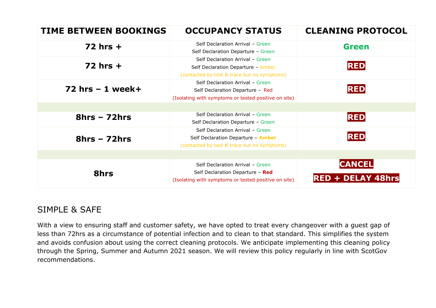| <b>TIME BETWEEN BOOKINGS</b> | <b>OCCUPANCY STATUS</b>                                                                                                      | <b>CLEANING PROTOCOL</b>                  |
|------------------------------|------------------------------------------------------------------------------------------------------------------------------|-------------------------------------------|
| $72$ hrs $+$                 | Self Declaration Arrival - Green<br>Self Declaration Departure - Green                                                       | <b>Green</b>                              |
| $72$ hrs $+$                 | Self Declaration Arrival - Green<br>Self Declaration Departure - Amber<br>(contacted by test & trace but no symptoms)        | <b>RED</b>                                |
| $72$ hrs $-1$ week+          | Self Declaration Arrival - Green<br>Self Declaration Departure - Red<br>(Isolating with symptoms or tested positive on site) | <b>RED</b>                                |
|                              |                                                                                                                              |                                           |
| $8hrs - 72hrs$               | Self Declaration Arrival - Green<br>Self Declaration Departure - Green                                                       | <b>RED</b>                                |
| $8hrs - 72hrs$               | Self Declaration Arrival - Green<br>Self Declaration Departure - Amber<br>(contacted by test & trace but no symptoms)        | <b>RED</b>                                |
|                              |                                                                                                                              |                                           |
| <b>8hrs</b>                  | Self Declaration Arrival - Green<br>Self Declaration Departure - Red<br>(Isolating with symptoms or tested positive on site) | <b>CANCEL</b><br><b>RED + DELAY 48hrs</b> |

## SIMPLE & SAFE

With a view to ensuring staff and customer safety, we have opted to treat every changeover with a guest gap of less than 72hrs as a circumstance of potential infection and to clean to that standard. This simplifies the system and avoids confusion about using the correct cleaning protocols. We anticipate implementing this cleaning policy through the Spring, Summer and Autumn 2021 season. We will review this policy regularly in line with ScotGov recommendations.